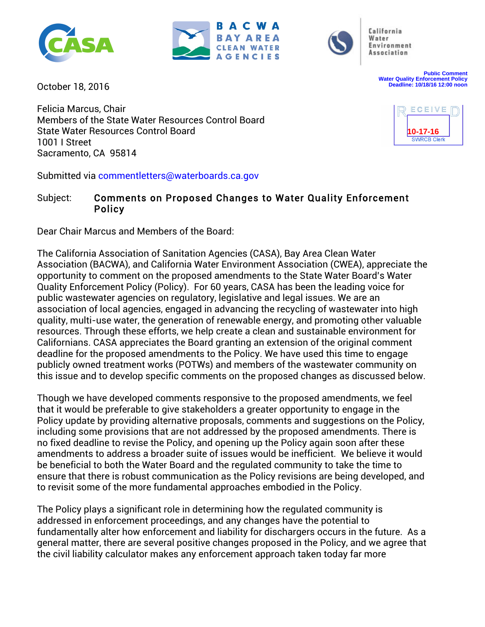

October 18, 2016





California Water Environment **Association** 

> **Public Comment Water Quality Enforcement Policy Deadline: 10/18/16 12:00 noon**

Felicia Marcus, Chair Members of the State Water Resources Control Board State Water Resources Control Board 1001 I Street Sacramento, CA 95814

Submitted via commentletters@waterboards.ca.gov

#### Subject: Comments on Proposed Changes to Water Quality Enforcement Policy

Dear Chair Marcus and Members of the Board:

The California Association of Sanitation Agencies (CASA), Bay Area Clean Water Association (BACWA), and California Water Environment Association (CWEA), appreciate the opportunity to comment on the proposed amendments to the State Water Board's Water Quality Enforcement Policy (Policy). For 60 years, CASA has been the leading voice for public wastewater agencies on regulatory, legislative and legal issues. We are an association of local agencies, engaged in advancing the recycling of wastewater into high quality, multi-use water, the generation of renewable energy, and promoting other valuable resources. Through these efforts, we help create a clean and sustainable environment for Californians. CASA appreciates the Board granting an extension of the original comment deadline for the proposed amendments to the Policy. We have used this time to engage publicly owned treatment works (POTWs) and members of the wastewater community on this issue and to develop specific comments on the proposed changes as discussed below.

Though we have developed comments responsive to the proposed amendments, we feel that it would be preferable to give stakeholders a greater opportunity to engage in the Policy update by providing alternative proposals, comments and suggestions on the Policy, including some provisions that are not addressed by the proposed amendments. There is no fixed deadline to revise the Policy, and opening up the Policy again soon after these amendments to address a broader suite of issues would be inefficient. We believe it would be beneficial to both the Water Board and the regulated community to take the time to ensure that there is robust communication as the Policy revisions are being developed, and to revisit some of the more fundamental approaches embodied in the Policy.

The Policy plays a significant role in determining how the regulated community is addressed in enforcement proceedings, and any changes have the potential to fundamentally alter how enforcement and liability for dischargers occurs in the future. As a general matter, there are several positive changes proposed in the Policy, and we agree that the civil liability calculator makes any enforcement approach taken today far more

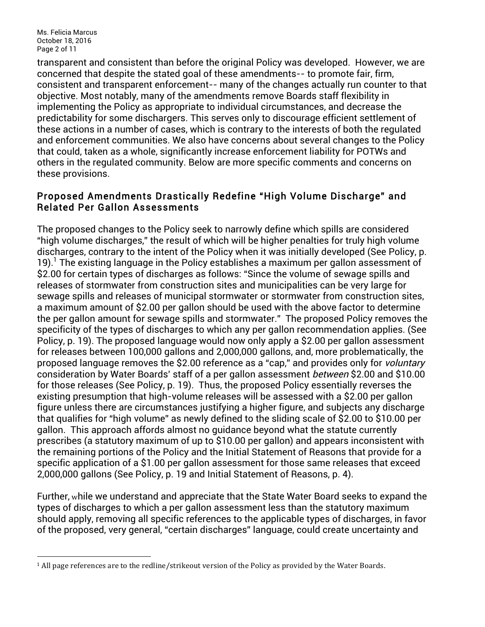transparent and consistent than before the original Policy was developed. However, we are concerned that despite the stated goal of these amendments-- to promote fair, firm, consistent and transparent enforcement-- many of the changes actually run counter to that objective. Most notably, many of the amendments remove Boards staff flexibility in implementing the Policy as appropriate to individual circumstances, and decrease the predictability for some dischargers. This serves only to discourage efficient settlement of these actions in a number of cases, which is contrary to the interests of both the regulated and enforcement communities. We also have concerns about several changes to the Policy that could, taken as a whole, significantly increase enforcement liability for POTWs and others in the regulated community. Below are more specific comments and concerns on these provisions.

## Proposed Amendments Drastically Redefine "High Volume Discharge" and Related Per Gallon Assessments

The proposed changes to the Policy seek to narrowly define which spills are considered "high volume discharges," the result of which will be higher penalties for truly high volume discharges, contrary to the intent of the Policy when it was initially developed (See Policy, p. 19).<sup>1</sup> The existing language in the Policy establishes a maximum per gallon assessment of \$2.00 for certain types of discharges as follows: "Since the volume of sewage spills and releases of stormwater from construction sites and municipalities can be very large for sewage spills and releases of municipal stormwater or stormwater from construction sites, a maximum amount of \$2.00 per gallon should be used with the above factor to determine the per gallon amount for sewage spills and stormwater." The proposed Policy removes the specificity of the types of discharges to which any per gallon recommendation applies. (See Policy, p. 19). The proposed language would now only apply a \$2.00 per gallon assessment for releases between 100,000 gallons and 2,000,000 gallons, and, more problematically, the proposed language removes the \$2.00 reference as a "cap," and provides only for *voluntary* consideration by Water Boards' staff of a per gallon assessment between \$2.00 and \$10.00 for those releases (See Policy, p. 19). Thus, the proposed Policy essentially reverses the existing presumption that high-volume releases will be assessed with a \$2.00 per gallon figure unless there are circumstances justifying a higher figure, and subjects any discharge that qualifies for "high volume" as newly defined to the sliding scale of \$2.00 to \$10.00 per gallon. This approach affords almost no guidance beyond what the statute currently prescribes (a statutory maximum of up to \$10.00 per gallon) and appears inconsistent with the remaining portions of the Policy and the Initial Statement of Reasons that provide for a specific application of a \$1.00 per gallon assessment for those same releases that exceed 2,000,000 gallons (See Policy, p. 19 and Initial Statement of Reasons, p. 4).

Further, while we understand and appreciate that the State Water Board seeks to expand the types of discharges to which a per gallon assessment less than the statutory maximum should apply, removing all specific references to the applicable types of discharges, in favor of the proposed, very general, "certain discharges" language, could create uncertainty and

 

 $1$  All page references are to the redline/strikeout version of the Policy as provided by the Water Boards.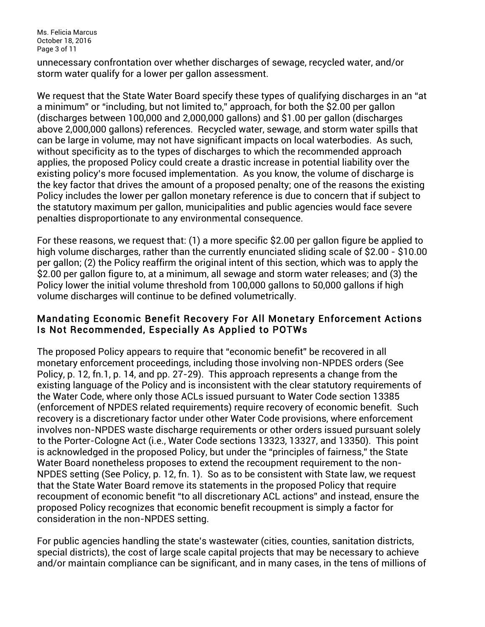Ms. Felicia Marcus October 18, 2016 Page 3 of 11

unnecessary confrontation over whether discharges of sewage, recycled water, and/or storm water qualify for a lower per gallon assessment.

We request that the State Water Board specify these types of qualifying discharges in an "at a minimum" or "including, but not limited to," approach, for both the \$2.00 per gallon (discharges between 100,000 and 2,000,000 gallons) and \$1.00 per gallon (discharges above 2,000,000 gallons) references. Recycled water, sewage, and storm water spills that can be large in volume, may not have significant impacts on local waterbodies. As such, without specificity as to the types of discharges to which the recommended approach applies, the proposed Policy could create a drastic increase in potential liability over the existing policy's more focused implementation. As you know, the volume of discharge is the key factor that drives the amount of a proposed penalty; one of the reasons the existing Policy includes the lower per gallon monetary reference is due to concern that if subject to the statutory maximum per gallon, municipalities and public agencies would face severe penalties disproportionate to any environmental consequence.

For these reasons, we request that: (1) a more specific \$2.00 per gallon figure be applied to high volume discharges, rather than the currently enunciated sliding scale of \$2.00 - \$10.00 per gallon; (2) the Policy reaffirm the original intent of this section, which was to apply the \$2.00 per gallon figure to, at a minimum, all sewage and storm water releases; and (3) the Policy lower the initial volume threshold from 100,000 gallons to 50,000 gallons if high volume discharges will continue to be defined volumetrically.

#### Mandating Economic Benefit Recovery For All Monetary Enforcement Actions Is Not Recommended, Especially As Applied to POTWs

The proposed Policy appears to require that "economic benefit" be recovered in all monetary enforcement proceedings, including those involving non-NPDES orders (See Policy, p. 12, fn.1, p. 14, and pp. 27-29). This approach represents a change from the existing language of the Policy and is inconsistent with the clear statutory requirements of the Water Code, where only those ACLs issued pursuant to Water Code section 13385 (enforcement of NPDES related requirements) require recovery of economic benefit. Such recovery is a discretionary factor under other Water Code provisions, where enforcement involves non-NPDES waste discharge requirements or other orders issued pursuant solely to the Porter-Cologne Act (i.e., Water Code sections 13323, 13327, and 13350). This point is acknowledged in the proposed Policy, but under the "principles of fairness," the State Water Board nonetheless proposes to extend the recoupment requirement to the non-NPDES setting (See Policy, p. 12, fn. 1). So as to be consistent with State law, we request that the State Water Board remove its statements in the proposed Policy that require recoupment of economic benefit "to all discretionary ACL actions" and instead, ensure the proposed Policy recognizes that economic benefit recoupment is simply a factor for consideration in the non-NPDES setting.

For public agencies handling the state's wastewater (cities, counties, sanitation districts, special districts), the cost of large scale capital projects that may be necessary to achieve and/or maintain compliance can be significant, and in many cases, in the tens of millions of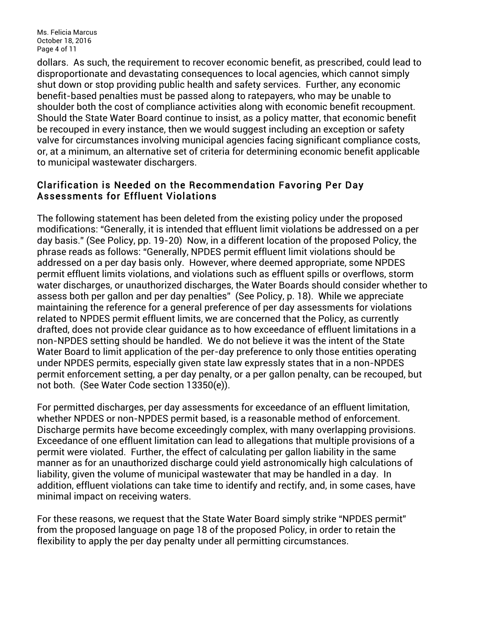Ms. Felicia Marcus October 18, 2016 Page 4 of 11

dollars. As such, the requirement to recover economic benefit, as prescribed, could lead to disproportionate and devastating consequences to local agencies, which cannot simply shut down or stop providing public health and safety services. Further, any economic benefit-based penalties must be passed along to ratepayers, who may be unable to shoulder both the cost of compliance activities along with economic benefit recoupment. Should the State Water Board continue to insist, as a policy matter, that economic benefit be recouped in every instance, then we would suggest including an exception or safety valve for circumstances involving municipal agencies facing significant compliance costs, or, at a minimum, an alternative set of criteria for determining economic benefit applicable to municipal wastewater dischargers.

### Clarification is Needed on the Recommendation Favoring Per Day Assessments for Effluent Violations

The following statement has been deleted from the existing policy under the proposed modifications: "Generally, it is intended that effluent limit violations be addressed on a per day basis." (See Policy, pp. 19-20) Now, in a different location of the proposed Policy, the phrase reads as follows: "Generally, NPDES permit effluent limit violations should be addressed on a per day basis only. However, where deemed appropriate, some NPDES permit effluent limits violations, and violations such as effluent spills or overflows, storm water discharges, or unauthorized discharges, the Water Boards should consider whether to assess both per gallon and per day penalties" (See Policy, p. 18). While we appreciate maintaining the reference for a general preference of per day assessments for violations related to NPDES permit effluent limits, we are concerned that the Policy, as currently drafted, does not provide clear guidance as to how exceedance of effluent limitations in a non-NPDES setting should be handled. We do not believe it was the intent of the State Water Board to limit application of the per-day preference to only those entities operating under NPDES permits, especially given state law expressly states that in a non-NPDES permit enforcement setting, a per day penalty, or a per gallon penalty, can be recouped, but not both. (See Water Code section 13350(e)).

For permitted discharges, per day assessments for exceedance of an effluent limitation, whether NPDES or non-NPDES permit based, is a reasonable method of enforcement. Discharge permits have become exceedingly complex, with many overlapping provisions. Exceedance of one effluent limitation can lead to allegations that multiple provisions of a permit were violated. Further, the effect of calculating per gallon liability in the same manner as for an unauthorized discharge could yield astronomically high calculations of liability, given the volume of municipal wastewater that may be handled in a day. In addition, effluent violations can take time to identify and rectify, and, in some cases, have minimal impact on receiving waters.

For these reasons, we request that the State Water Board simply strike "NPDES permit" from the proposed language on page 18 of the proposed Policy, in order to retain the flexibility to apply the per day penalty under all permitting circumstances.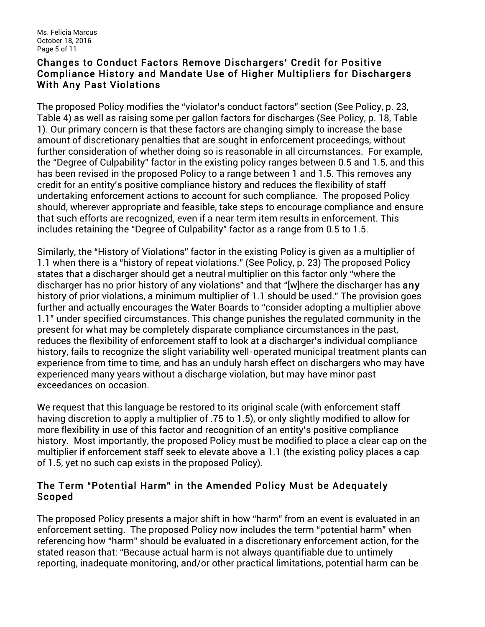### Changes to Conduct Factors Remove Dischargers' Credit for Positive Compliance History and Mandate Use of Higher Multipliers for Dischargers With Any Past Violations

The proposed Policy modifies the "violator's conduct factors" section (See Policy, p. 23, Table 4) as well as raising some per gallon factors for discharges (See Policy, p. 18, Table 1). Our primary concern is that these factors are changing simply to increase the base amount of discretionary penalties that are sought in enforcement proceedings, without further consideration of whether doing so is reasonable in all circumstances. For example, the "Degree of Culpability" factor in the existing policy ranges between 0.5 and 1.5, and this has been revised in the proposed Policy to a range between 1 and 1.5. This removes any credit for an entity's positive compliance history and reduces the flexibility of staff undertaking enforcement actions to account for such compliance. The proposed Policy should, wherever appropriate and feasible, take steps to encourage compliance and ensure that such efforts are recognized, even if a near term item results in enforcement. This includes retaining the "Degree of Culpability" factor as a range from 0.5 to 1.5.

Similarly, the "History of Violations" factor in the existing Policy is given as a multiplier of 1.1 when there is a "history of repeat violations." (See Policy, p. 23) The proposed Policy states that a discharger should get a neutral multiplier on this factor only "where the discharger has no prior history of any violations" and that "[w]here the discharger has any history of prior violations, a minimum multiplier of 1.1 should be used." The provision goes further and actually encourages the Water Boards to "consider adopting a multiplier above 1.1" under specified circumstances. This change punishes the regulated community in the present for what may be completely disparate compliance circumstances in the past, reduces the flexibility of enforcement staff to look at a discharger's individual compliance history, fails to recognize the slight variability well-operated municipal treatment plants can experience from time to time, and has an unduly harsh effect on dischargers who may have experienced many years without a discharge violation, but may have minor past exceedances on occasion.

We request that this language be restored to its original scale (with enforcement staff having discretion to apply a multiplier of .75 to 1.5), or only slightly modified to allow for more flexibility in use of this factor and recognition of an entity's positive compliance history. Most importantly, the proposed Policy must be modified to place a clear cap on the multiplier if enforcement staff seek to elevate above a 1.1 (the existing policy places a cap of 1.5, yet no such cap exists in the proposed Policy).

# The Term "Potential Harm" in the Amended Policy Must be Adequately Scoped

The proposed Policy presents a major shift in how "harm" from an event is evaluated in an enforcement setting. The proposed Policy now includes the term "potential harm" when referencing how "harm" should be evaluated in a discretionary enforcement action, for the stated reason that: "Because actual harm is not always quantifiable due to untimely reporting, inadequate monitoring, and/or other practical limitations, potential harm can be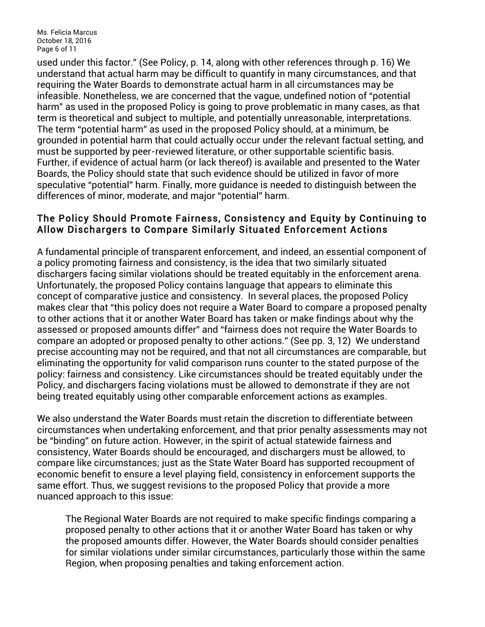Ms. Felicia Marcus October 18, 2016 Page 6 of 11

used under this factor." (See Policy, p. 14, along with other references through p. 16) We understand that actual harm may be difficult to quantify in many circumstances, and that requiring the Water Boards to demonstrate actual harm in all circumstances may be infeasible. Nonetheless, we are concerned that the vague, undefined notion of "potential harm" as used in the proposed Policy is going to prove problematic in many cases, as that term is theoretical and subject to multiple, and potentially unreasonable, interpretations. The term "potential harm" as used in the proposed Policy should, at a minimum, be grounded in potential harm that could actually occur under the relevant factual setting, and must be supported by peer-reviewed literature, or other supportable scientific basis. Further, if evidence of actual harm (or lack thereof) is available and presented to the Water Boards, the Policy should state that such evidence should be utilized in favor of more speculative "potential" harm. Finally, more guidance is needed to distinguish between the differences of minor, moderate, and major "potential" harm.

#### The Policy Should Promote Fairness, Consistency and Equity by Continuing to Allow Dischargers to Compare Similarly Situated Enforcement Actions

A fundamental principle of transparent enforcement, and indeed, an essential component of a policy promoting fairness and consistency, is the idea that two similarly situated dischargers facing similar violations should be treated equitably in the enforcement arena. Unfortunately, the proposed Policy contains language that appears to eliminate this concept of comparative justice and consistency. In several places, the proposed Policy makes clear that "this policy does not require a Water Board to compare a proposed penalty to other actions that it or another Water Board has taken or make findings about why the assessed or proposed amounts differ" and "fairness does not require the Water Boards to compare an adopted or proposed penalty to other actions." (See pp. 3, 12) We understand precise accounting may not be required, and that not all circumstances are comparable, but eliminating the opportunity for valid comparison runs counter to the stated purpose of the policy: fairness and consistency. Like circumstances should be treated equitably under the Policy, and dischargers facing violations must be allowed to demonstrate if they are not being treated equitably using other comparable enforcement actions as examples.

We also understand the Water Boards must retain the discretion to differentiate between circumstances when undertaking enforcement, and that prior penalty assessments may not be "binding" on future action. However, in the spirit of actual statewide fairness and consistency, Water Boards should be encouraged, and dischargers must be allowed, to compare like circumstances; just as the State Water Board has supported recoupment of economic benefit to ensure a level playing field, consistency in enforcement supports the same effort. Thus, we suggest revisions to the proposed Policy that provide a more nuanced approach to this issue:

The Regional Water Boards are not required to make specific findings comparing a proposed penalty to other actions that it or another Water Board has taken or why the proposed amounts differ. However, the Water Boards should consider penalties for similar violations under similar circumstances, particularly those within the same Region, when proposing penalties and taking enforcement action.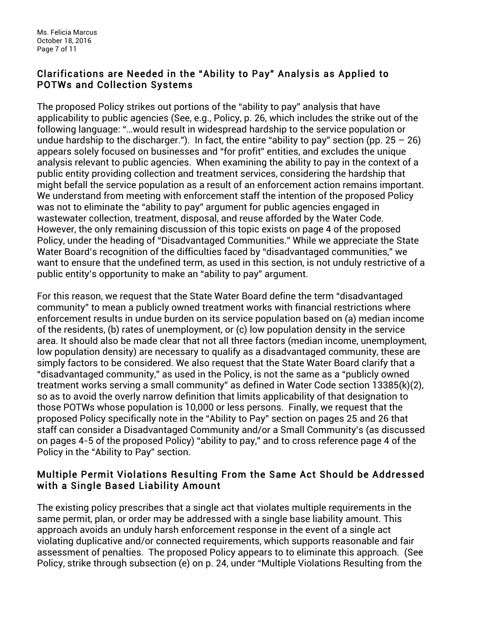Ms. Felicia Marcus October 18, 2016 Page 7 of 11

## Clarifications are Needed in the "Ability to Pay" Analysis as Applied to POTWs and Collection Systems

The proposed Policy strikes out portions of the "ability to pay" analysis that have applicability to public agencies (See, e.g., Policy, p. 26, which includes the strike out of the following language: "…would result in widespread hardship to the service population or undue hardship to the discharger."). In fact, the entire "ability to pay" section (pp.  $25 - 26$ ) appears solely focused on businesses and "for profit" entities, and excludes the unique analysis relevant to public agencies. When examining the ability to pay in the context of a public entity providing collection and treatment services, considering the hardship that might befall the service population as a result of an enforcement action remains important. We understand from meeting with enforcement staff the intention of the proposed Policy was not to eliminate the "ability to pay" argument for public agencies engaged in wastewater collection, treatment, disposal, and reuse afforded by the Water Code. However, the only remaining discussion of this topic exists on page 4 of the proposed Policy, under the heading of "Disadvantaged Communities." While we appreciate the State Water Board's recognition of the difficulties faced by "disadvantaged communities," we want to ensure that the undefined term, as used in this section, is not unduly restrictive of a public entity's opportunity to make an "ability to pay" argument.

For this reason, we request that the State Water Board define the term "disadvantaged community" to mean a publicly owned treatment works with financial restrictions where enforcement results in undue burden on its service population based on (a) median income of the residents, (b) rates of unemployment, or (c) low population density in the service area. It should also be made clear that not all three factors (median income, unemployment, low population density) are necessary to qualify as a disadvantaged community, these are simply factors to be considered. We also request that the State Water Board clarify that a "disadvantaged community," as used in the Policy, is not the same as a "publicly owned treatment works serving a small community" as defined in Water Code section 13385(k)(2), so as to avoid the overly narrow definition that limits applicability of that designation to those POTWs whose population is 10,000 or less persons. Finally, we request that the proposed Policy specifically note in the "Ability to Pay" section on pages 25 and 26 that staff can consider a Disadvantaged Community and/or a Small Community's (as discussed on pages 4-5 of the proposed Policy) "ability to pay," and to cross reference page 4 of the Policy in the "Ability to Pay" section.

# Multiple Permit Violations Resulting From the Same Act Should be Addressed with a Single Based Liability Amount

The existing policy prescribes that a single act that violates multiple requirements in the same permit, plan, or order may be addressed with a single base liability amount. This approach avoids an unduly harsh enforcement response in the event of a single act violating duplicative and/or connected requirements, which supports reasonable and fair assessment of penalties. The proposed Policy appears to to eliminate this approach. (See Policy, strike through subsection (e) on p. 24, under "Multiple Violations Resulting from the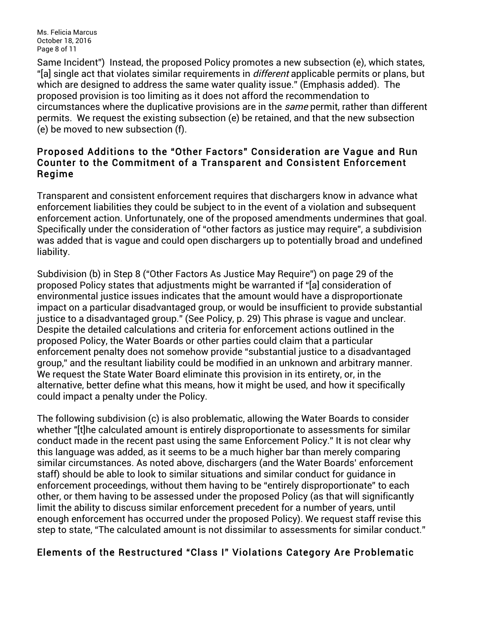Ms. Felicia Marcus October 18, 2016 Page 8 of 11

Same Incident") Instead, the proposed Policy promotes a new subsection (e), which states, "[a] single act that violates similar requirements in *different* applicable permits or plans, but which are designed to address the same water quality issue." (Emphasis added). The proposed provision is too limiting as it does not afford the recommendation to circumstances where the duplicative provisions are in the *same* permit, rather than different permits. We request the existing subsection (e) be retained, and that the new subsection (e) be moved to new subsection (f).

#### Proposed Additions to the "Other Factors" Consideration are Vague and Run Counter to the Commitment of a Transparent and Consistent Enforcement Regime

Transparent and consistent enforcement requires that dischargers know in advance what enforcement liabilities they could be subject to in the event of a violation and subsequent enforcement action. Unfortunately, one of the proposed amendments undermines that goal. Specifically under the consideration of "other factors as justice may require", a subdivision was added that is vague and could open dischargers up to potentially broad and undefined liability.

Subdivision (b) in Step 8 ("Other Factors As Justice May Require") on page 29 of the proposed Policy states that adjustments might be warranted if "[a] consideration of environmental justice issues indicates that the amount would have a disproportionate impact on a particular disadvantaged group, or would be insufficient to provide substantial justice to a disadvantaged group." (See Policy, p. 29) This phrase is vague and unclear. Despite the detailed calculations and criteria for enforcement actions outlined in the proposed Policy, the Water Boards or other parties could claim that a particular enforcement penalty does not somehow provide "substantial justice to a disadvantaged group," and the resultant liability could be modified in an unknown and arbitrary manner. We request the State Water Board eliminate this provision in its entirety, or, in the alternative, better define what this means, how it might be used, and how it specifically could impact a penalty under the Policy.

The following subdivision (c) is also problematic, allowing the Water Boards to consider whether "[t]he calculated amount is entirely disproportionate to assessments for similar conduct made in the recent past using the same Enforcement Policy." It is not clear why this language was added, as it seems to be a much higher bar than merely comparing similar circumstances. As noted above, dischargers (and the Water Boards' enforcement staff) should be able to look to similar situations and similar conduct for guidance in enforcement proceedings, without them having to be "entirely disproportionate" to each other, or them having to be assessed under the proposed Policy (as that will significantly limit the ability to discuss similar enforcement precedent for a number of years, until enough enforcement has occurred under the proposed Policy). We request staff revise this step to state, "The calculated amount is not dissimilar to assessments for similar conduct."

# Elements of the Restructured "Class I" Violations Category Are Problematic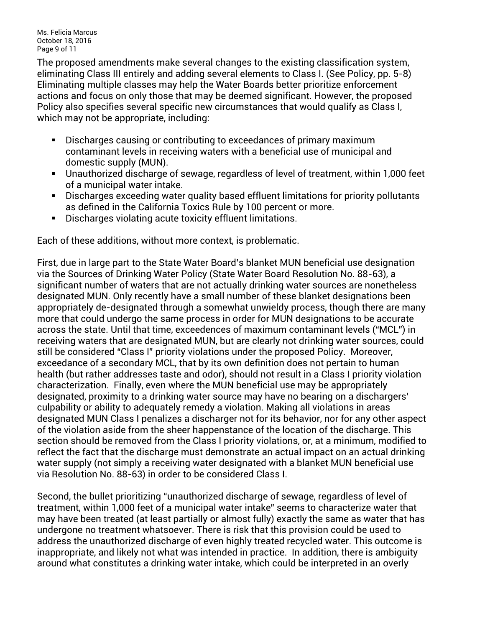Ms. Felicia Marcus October 18, 2016 Page 9 of 11

The proposed amendments make several changes to the existing classification system, eliminating Class III entirely and adding several elements to Class I. (See Policy, pp. 5-8) Eliminating multiple classes may help the Water Boards better prioritize enforcement actions and focus on only those that may be deemed significant. However, the proposed Policy also specifies several specific new circumstances that would qualify as Class I, which may not be appropriate, including:

- Discharges causing or contributing to exceedances of primary maximum contaminant levels in receiving waters with a beneficial use of municipal and domestic supply (MUN).
- § Unauthorized discharge of sewage, regardless of level of treatment, within 1,000 feet of a municipal water intake.
- Discharges exceeding water quality based effluent limitations for priority pollutants as defined in the California Toxics Rule by 100 percent or more.
- Discharges violating acute toxicity effluent limitations.

Each of these additions, without more context, is problematic.

First, due in large part to the State Water Board's blanket MUN beneficial use designation via the Sources of Drinking Water Policy (State Water Board Resolution No. 88-63), a significant number of waters that are not actually drinking water sources are nonetheless designated MUN. Only recently have a small number of these blanket designations been appropriately de-designated through a somewhat unwieldy process, though there are many more that could undergo the same process in order for MUN designations to be accurate across the state. Until that time, exceedences of maximum contaminant levels ("MCL") in receiving waters that are designated MUN, but are clearly not drinking water sources, could still be considered "Class I" priority violations under the proposed Policy. Moreover, exceedance of a secondary MCL, that by its own definition does not pertain to human health (but rather addresses taste and odor), should not result in a Class I priority violation characterization. Finally, even where the MUN beneficial use may be appropriately designated, proximity to a drinking water source may have no bearing on a dischargers' culpability or ability to adequately remedy a violation. Making all violations in areas designated MUN Class I penalizes a discharger not for its behavior, nor for any other aspect of the violation aside from the sheer happenstance of the location of the discharge. This section should be removed from the Class I priority violations, or, at a minimum, modified to reflect the fact that the discharge must demonstrate an actual impact on an actual drinking water supply (not simply a receiving water designated with a blanket MUN beneficial use via Resolution No. 88-63) in order to be considered Class I.

Second, the bullet prioritizing "unauthorized discharge of sewage, regardless of level of treatment, within 1,000 feet of a municipal water intake" seems to characterize water that may have been treated (at least partially or almost fully) exactly the same as water that has undergone no treatment whatsoever. There is risk that this provision could be used to address the unauthorized discharge of even highly treated recycled water. This outcome is inappropriate, and likely not what was intended in practice. In addition, there is ambiguity around what constitutes a drinking water intake, which could be interpreted in an overly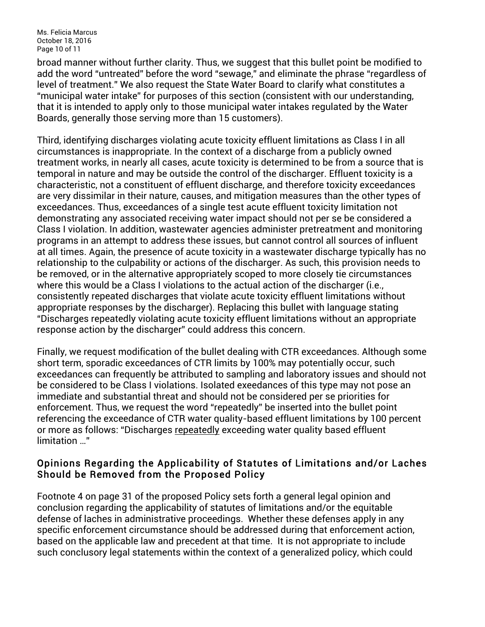Ms. Felicia Marcus October 18, 2016 Page 10 of 11

broad manner without further clarity. Thus, we suggest that this bullet point be modified to add the word "untreated" before the word "sewage," and eliminate the phrase "regardless of level of treatment." We also request the State Water Board to clarify what constitutes a "municipal water intake" for purposes of this section (consistent with our understanding, that it is intended to apply only to those municipal water intakes regulated by the Water Boards, generally those serving more than 15 customers).

Third, identifying discharges violating acute toxicity effluent limitations as Class I in all circumstances is inappropriate. In the context of a discharge from a publicly owned treatment works, in nearly all cases, acute toxicity is determined to be from a source that is temporal in nature and may be outside the control of the discharger. Effluent toxicity is a characteristic, not a constituent of effluent discharge, and therefore toxicity exceedances are very dissimilar in their nature, causes, and mitigation measures than the other types of exceedances. Thus, exceedances of a single test acute effluent toxicity limitation not demonstrating any associated receiving water impact should not per se be considered a Class I violation. In addition, wastewater agencies administer pretreatment and monitoring programs in an attempt to address these issues, but cannot control all sources of influent at all times. Again, the presence of acute toxicity in a wastewater discharge typically has no relationship to the culpability or actions of the discharger. As such, this provision needs to be removed, or in the alternative appropriately scoped to more closely tie circumstances where this would be a Class I violations to the actual action of the discharger (i.e., consistently repeated discharges that violate acute toxicity effluent limitations without appropriate responses by the discharger). Replacing this bullet with language stating "Discharges repeatedly violating acute toxicity effluent limitations without an appropriate response action by the discharger" could address this concern.

Finally, we request modification of the bullet dealing with CTR exceedances. Although some short term, sporadic exceedances of CTR limits by 100% may potentially occur, such exceedances can frequently be attributed to sampling and laboratory issues and should not be considered to be Class I violations. Isolated exeedances of this type may not pose an immediate and substantial threat and should not be considered per se priorities for enforcement. Thus, we request the word "repeatedly" be inserted into the bullet point referencing the exceedance of CTR water quality-based effluent limitations by 100 percent or more as follows: "Discharges repeatedly exceeding water quality based effluent limitation …"

# Opinions Regarding the Applicability of Statutes of Limitations and/or Laches Should be Removed from the Proposed Policy

Footnote 4 on page 31 of the proposed Policy sets forth a general legal opinion and conclusion regarding the applicability of statutes of limitations and/or the equitable defense of laches in administrative proceedings. Whether these defenses apply in any specific enforcement circumstance should be addressed during that enforcement action, based on the applicable law and precedent at that time. It is not appropriate to include such conclusory legal statements within the context of a generalized policy, which could